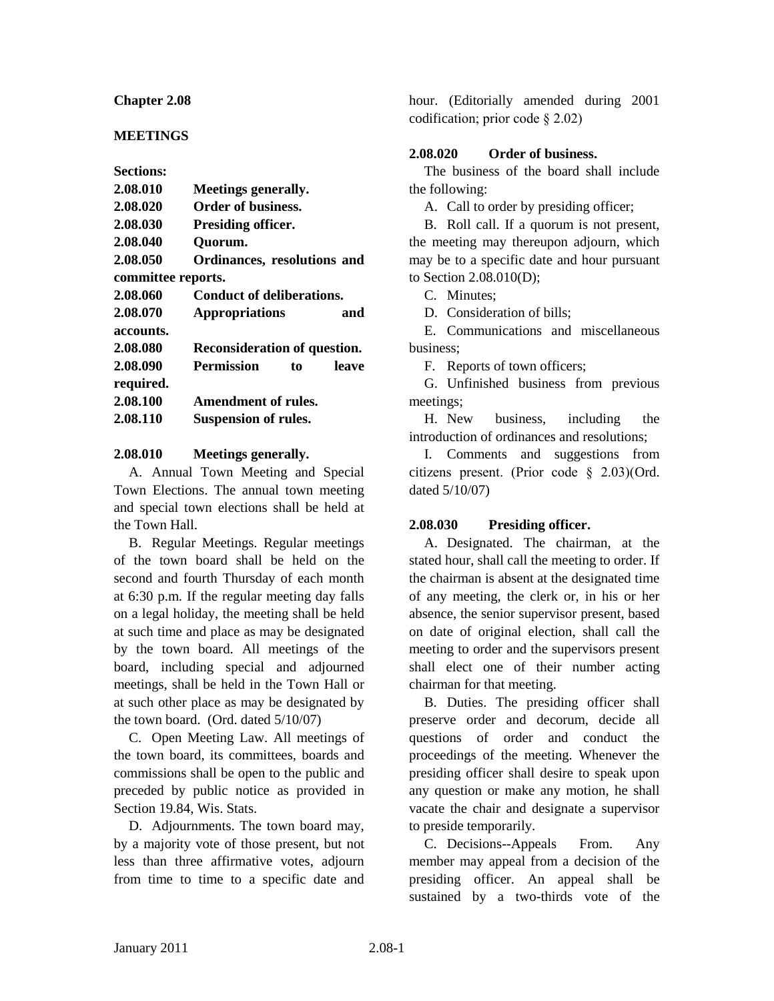#### **Chapter 2.08**

## **MEETINGS**

| <b>Sections:</b>   |                                     |       |
|--------------------|-------------------------------------|-------|
| 2.08.010           | <b>Meetings generally.</b>          |       |
| 2.08.020           | Order of business.                  |       |
| 2.08.030           | Presiding officer.                  |       |
| 2.08.040           | Quorum.                             |       |
| 2.08.050           | Ordinances, resolutions and         |       |
| committee reports. |                                     |       |
| 2.08.060           | <b>Conduct of deliberations.</b>    |       |
| 2.08.070           | <b>Appropriations</b>               | and   |
| accounts.          |                                     |       |
| 2.08.080           | <b>Reconsideration of question.</b> |       |
| 2.08.090           | <b>Permission</b><br>to             | leave |
| required.          |                                     |       |
| 2.08.100           | <b>Amendment of rules.</b>          |       |
| 2.08.110           | <b>Suspension of rules.</b>         |       |

#### **2.08.010 Meetings generally.**

A. Annual Town Meeting and Special Town Elections. The annual town meeting and special town elections shall be held at the Town Hall.

B. Regular Meetings. Regular meetings of the town board shall be held on the second and fourth Thursday of each month at 6:30 p.m. If the regular meeting day falls on a legal holiday, the meeting shall be held at such time and place as may be designated by the town board. All meetings of the board, including special and adjourned meetings, shall be held in the Town Hall or at such other place as may be designated by the town board. (Ord. dated 5/10/07)

C. Open Meeting Law. All meetings of the town board, its committees, boards and commissions shall be open to the public and preceded by public notice as provided in Section 19.84, Wis. Stats.

D. Adjournments. The town board may, by a majority vote of those present, but not less than three affirmative votes, adjourn from time to time to a specific date and

hour. (Editorially amended during 2001 codification; prior code § 2.02)

## **2.08.020 Order of business.**

The business of the board shall include the following:

A. Call to order by presiding officer;

B. Roll call. If a quorum is not present, the meeting may thereupon adjourn, which may be to a specific date and hour pursuant to Section 2.08.010(D);

C. Minutes;

D. Consideration of bills;

E. Communications and miscellaneous business;

F. Reports of town officers;

G. Unfinished business from previous meetings;

H. New business, including the introduction of ordinances and resolutions;

I. Comments and suggestions from citizens present. (Prior code § 2.03)(Ord. dated 5/10/07)

# **2.08.030 Presiding officer.**

A. Designated. The chairman, at the stated hour, shall call the meeting to order. If the chairman is absent at the designated time of any meeting, the clerk or, in his or her absence, the senior supervisor present, based on date of original election, shall call the meeting to order and the supervisors present shall elect one of their number acting chairman for that meeting.

B. Duties. The presiding officer shall preserve order and decorum, decide all questions of order and conduct the proceedings of the meeting. Whenever the presiding officer shall desire to speak upon any question or make any motion, he shall vacate the chair and designate a supervisor to preside temporarily.

C. Decisions--Appeals From. Any member may appeal from a decision of the presiding officer. An appeal shall be sustained by a two-thirds vote of the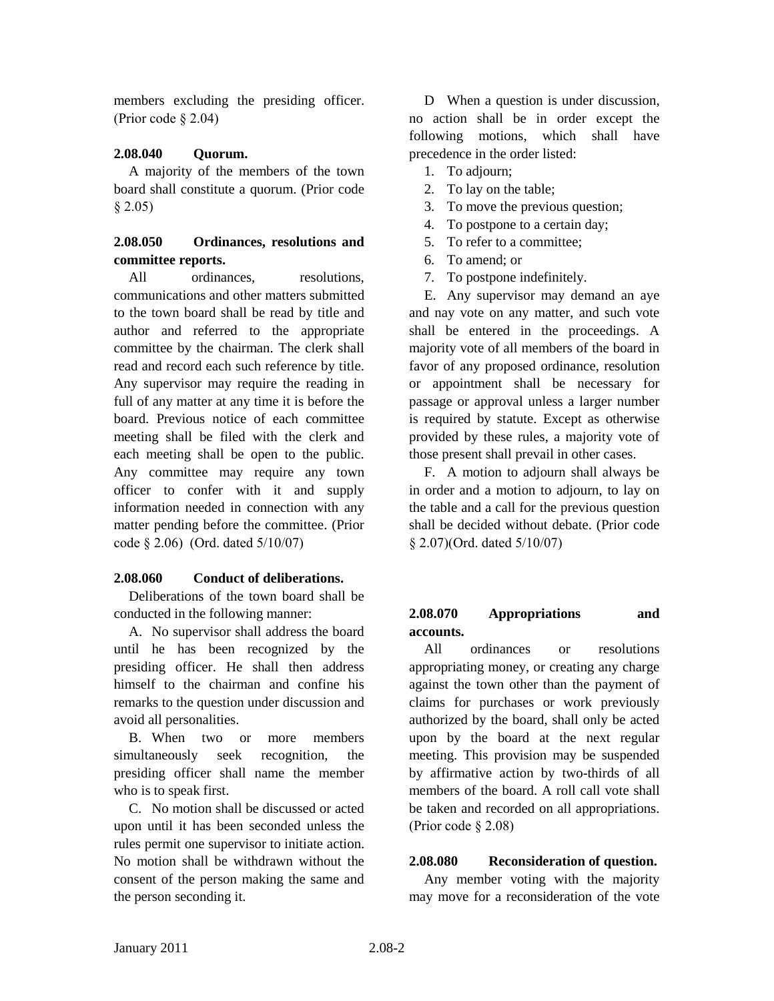members excluding the presiding officer. (Prior code § 2.04)

## **2.08.040 Quorum.**

A majority of the members of the town board shall constitute a quorum. (Prior code § 2.05)

# **2.08.050 Ordinances, resolutions and committee reports.**

All ordinances, resolutions, communications and other matters submitted to the town board shall be read by title and author and referred to the appropriate committee by the chairman. The clerk shall read and record each such reference by title. Any supervisor may require the reading in full of any matter at any time it is before the board. Previous notice of each committee meeting shall be filed with the clerk and each meeting shall be open to the public. Any committee may require any town officer to confer with it and supply information needed in connection with any matter pending before the committee. (Prior code § 2.06) (Ord. dated 5/10/07)

#### **2.08.060 Conduct of deliberations.**

Deliberations of the town board shall be conducted in the following manner:

A. No supervisor shall address the board until he has been recognized by the presiding officer. He shall then address himself to the chairman and confine his remarks to the question under discussion and avoid all personalities.

B. When two or more members simultaneously seek recognition, the presiding officer shall name the member who is to speak first.

C. No motion shall be discussed or acted upon until it has been seconded unless the rules permit one supervisor to initiate action. No motion shall be withdrawn without the consent of the person making the same and the person seconding it.

D When a question is under discussion, no action shall be in order except the following motions, which shall have precedence in the order listed:

- 1. To adjourn;
- 2. To lay on the table;
- 3. To move the previous question;
- 4. To postpone to a certain day;
- 5. To refer to a committee;
- 6. To amend; or
- 7. To postpone indefinitely.

E. Any supervisor may demand an aye and nay vote on any matter, and such vote shall be entered in the proceedings. A majority vote of all members of the board in favor of any proposed ordinance, resolution or appointment shall be necessary for passage or approval unless a larger number is required by statute. Except as otherwise provided by these rules, a majority vote of those present shall prevail in other cases.

F. A motion to adjourn shall always be in order and a motion to adjourn, to lay on the table and a call for the previous question shall be decided without debate. (Prior code § 2.07)(Ord. dated 5/10/07)

# **2.08.070 Appropriations and accounts.**

All ordinances or resolutions appropriating money, or creating any charge against the town other than the payment of claims for purchases or work previously authorized by the board, shall only be acted upon by the board at the next regular meeting. This provision may be suspended by affirmative action by two-thirds of all members of the board. A roll call vote shall be taken and recorded on all appropriations. (Prior code § 2.08)

# **2.08.080 Reconsideration of question.**

Any member voting with the majority may move for a reconsideration of the vote